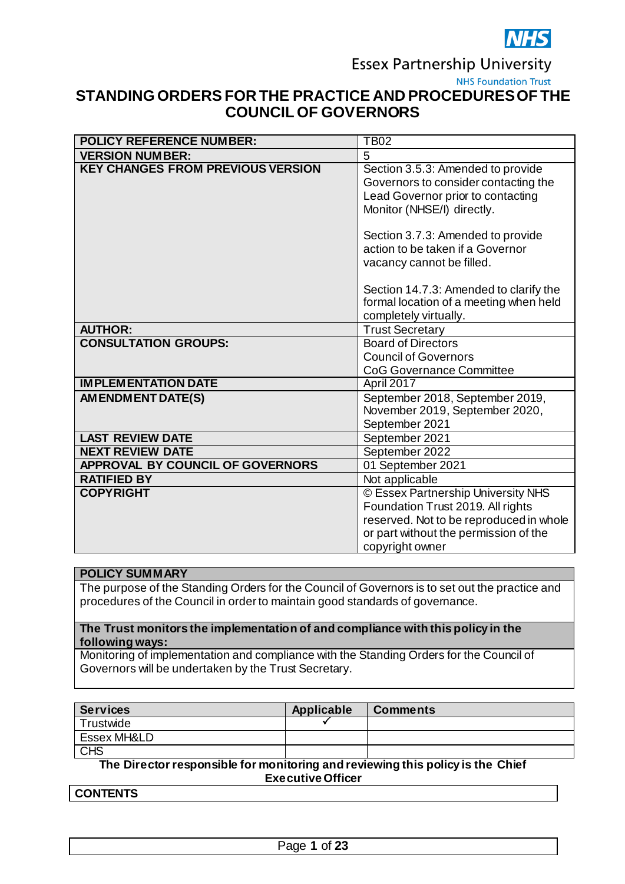

**Essex Partnership University** 

**NHS Foundation Trust** 

# **STANDING ORDERS FOR THE PRACTICE AND PROCEDURES OF THE COUNCIL OF GOVERNORS**

| <b>POLICY REFERENCE NUMBER:</b>          | <b>TB02</b>                                                                                                                                                                                                                                        |
|------------------------------------------|----------------------------------------------------------------------------------------------------------------------------------------------------------------------------------------------------------------------------------------------------|
| <b>VERSION NUMBER:</b>                   | 5                                                                                                                                                                                                                                                  |
| <b>KEY CHANGES FROM PREVIOUS VERSION</b> | Section 3.5.3: Amended to provide<br>Governors to consider contacting the<br>Lead Governor prior to contacting<br>Monitor (NHSE/I) directly.<br>Section 3.7.3: Amended to provide<br>action to be taken if a Governor<br>vacancy cannot be filled. |
|                                          | Section 14.7.3: Amended to clarify the<br>formal location of a meeting when held<br>completely virtually.                                                                                                                                          |
| <b>AUTHOR:</b>                           | <b>Trust Secretary</b>                                                                                                                                                                                                                             |
| <b>CONSULTATION GROUPS:</b>              | <b>Board of Directors</b>                                                                                                                                                                                                                          |
|                                          | <b>Council of Governors</b>                                                                                                                                                                                                                        |
|                                          | <b>CoG Governance Committee</b>                                                                                                                                                                                                                    |
| <b>IMPLEMENTATION DATE</b>               | April 2017                                                                                                                                                                                                                                         |
| AM ENDM ENT DATE(S)                      | September 2018, September 2019,<br>November 2019, September 2020,<br>September 2021                                                                                                                                                                |
| <b>LAST REVIEW DATE</b>                  | September 2021                                                                                                                                                                                                                                     |
| <b>NEXT REVIEW DATE</b>                  | September 2022                                                                                                                                                                                                                                     |
| APPROVAL BY COUNCIL OF GOVERNORS         | 01 September 2021                                                                                                                                                                                                                                  |
| <b>RATIFIED BY</b>                       | Not applicable                                                                                                                                                                                                                                     |
| <b>COPYRIGHT</b>                         | © Essex Partnership University NHS                                                                                                                                                                                                                 |
|                                          | Foundation Trust 2019. All rights                                                                                                                                                                                                                  |
|                                          | reserved. Not to be reproduced in whole                                                                                                                                                                                                            |
|                                          | or part without the permission of the                                                                                                                                                                                                              |
|                                          | copyright owner                                                                                                                                                                                                                                    |

#### **POLICY SUMMARY**

The purpose of the Standing Orders for the Council of Governors is to set out the practice and procedures of the Council in order to maintain good standards of governance.

#### **The Trust monitors the implementation of and compliance with this policy in the following ways:**

Monitoring of implementation and compliance with the Standing Orders for the Council of Governors will be undertaken by the Trust Secretary.

| Services               | Applicable | <b>Comments</b> |
|------------------------|------------|-----------------|
| Trustwide              |            |                 |
| <b>Essex MH&amp;LD</b> |            |                 |
| CHS                    |            |                 |

**The Director responsible for monitoring and reviewing this policy is the Chief Executive Officer**

**CONTENTS**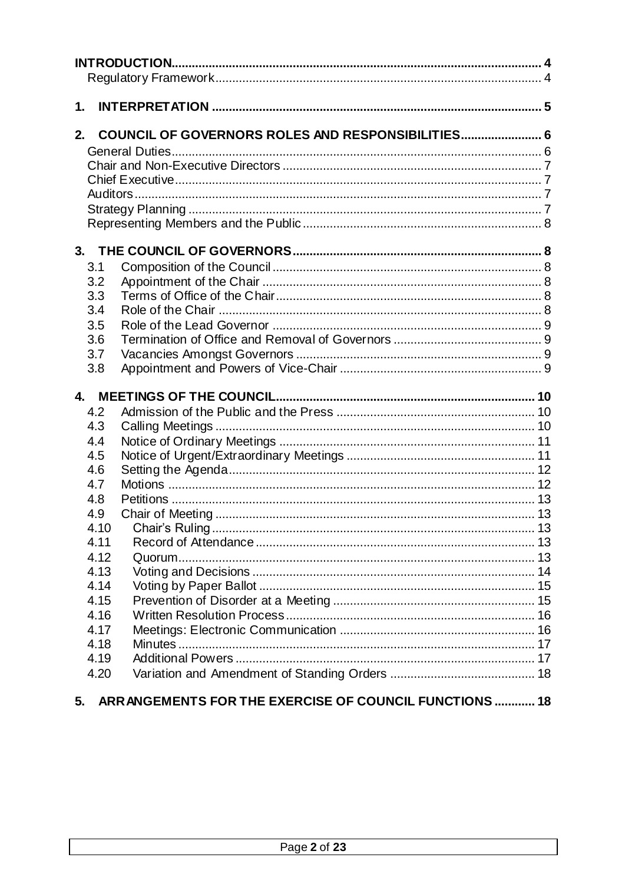| 1.                                                                                           |                                                   |  |
|----------------------------------------------------------------------------------------------|---------------------------------------------------|--|
| 2.                                                                                           | COUNCIL OF GOVERNORS ROLES AND RESPONSIBILITIES 6 |  |
| 3.1<br>3.2<br>3.3<br>3.4<br>3.5<br>3.6<br>3.7<br>3.8                                         |                                                   |  |
| 4.2<br>4.3<br>4.4<br>4.5<br>4.6<br>4.7<br>4.8<br>4.9<br>4.10<br>4.11<br>4.12<br>4.13<br>4.14 |                                                   |  |
| 4.15<br>4.16<br>4.17<br>4.18<br>4.19<br>4.20                                                 |                                                   |  |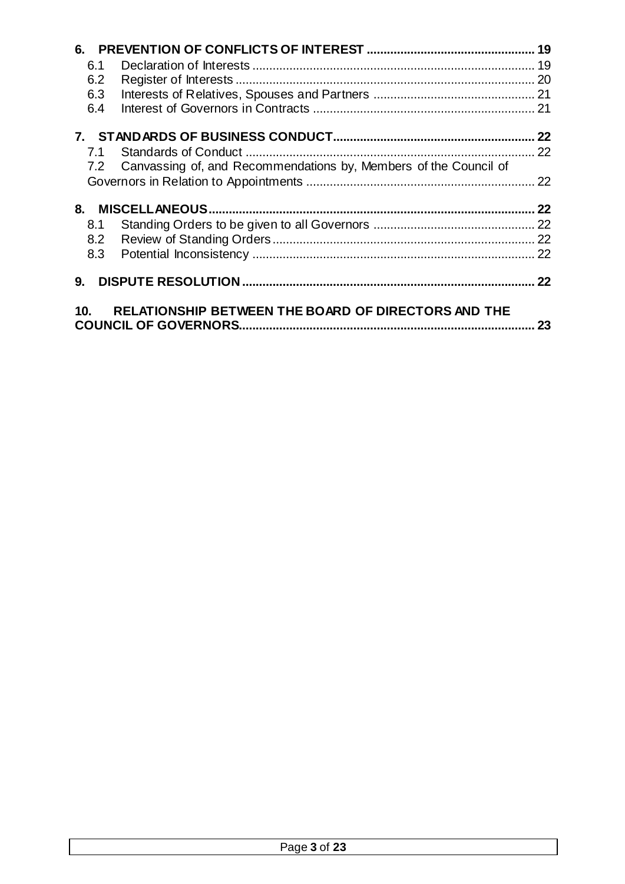| 6.1 |                                                                      |    |
|-----|----------------------------------------------------------------------|----|
| 6.2 |                                                                      |    |
| 6.3 |                                                                      |    |
| 6.4 |                                                                      |    |
|     |                                                                      |    |
| 7.1 |                                                                      |    |
|     | 7.2 Canvassing of, and Recommendations by, Members of the Council of |    |
|     |                                                                      | 22 |
| 8.  |                                                                      | 22 |
| 8.1 |                                                                      |    |
| 8.2 |                                                                      |    |
| 8.3 |                                                                      |    |
| 9.  |                                                                      |    |
| 10. | <b>RELATIONSHIP BETWEEN THE BOARD OF DIRECTORS AND THE</b>           | 23 |

| $\mathbf{A}$<br>$D_{0.22}$ |
|----------------------------|
|                            |
|                            |
|                            |
|                            |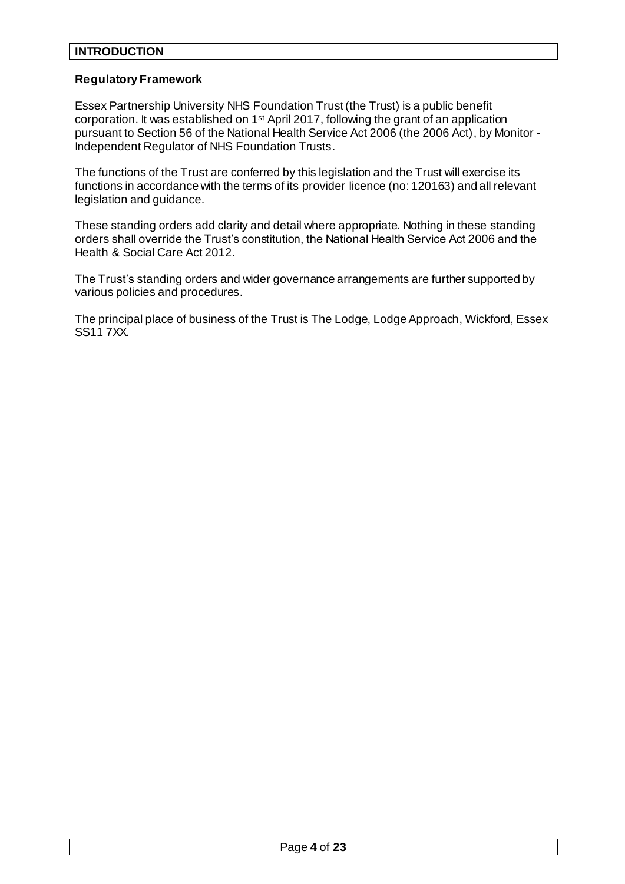## <span id="page-3-0"></span>**INTRODUCTION**

#### <span id="page-3-1"></span>**Regulatory Framework**

Essex Partnership University NHS Foundation Trust (the Trust) is a public benefit corporation. It was established on 1<sup>st</sup> April 2017, following the grant of an application pursuant to Section 56 of the National Health Service Act 2006 (the 2006 Act), by Monitor - Independent Regulator of NHS Foundation Trusts.

The functions of the Trust are conferred by this legislation and the Trust will exercise its functions in accordance with the terms of its provider licence (no: 120163) and all relevant legislation and guidance.

These standing orders add clarity and detail where appropriate. Nothing in these standing orders shall override the Trust's constitution, the National Health Service Act 2006 and the Health & Social Care Act 2012.

The Trust's standing orders and wider governance arrangements are further supported by various policies and procedures.

The principal place of business of the Trust is The Lodge, Lodge Approach, Wickford, Essex SS11 7XX.

| $\sim$ $\sim$<br>$D - 22$<br>1 23 ار<br>- - - |  |
|-----------------------------------------------|--|
|                                               |  |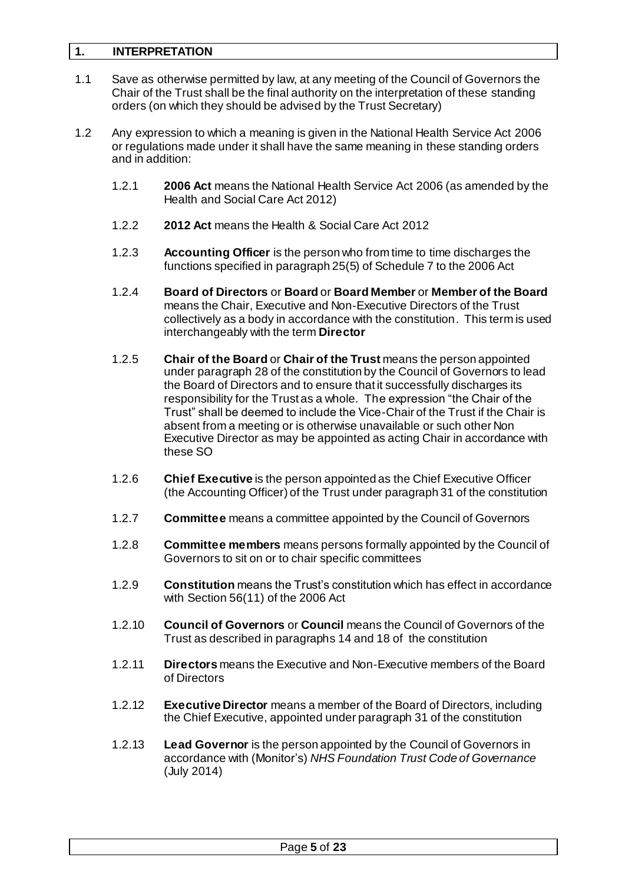## <span id="page-4-0"></span>**1. INTERPRETATION**

- 1.1 Save as otherwise permitted by law, at any meeting of the Council of Governors the Chair of the Trust shall be the final authority on the interpretation of these standing orders (on which they should be advised by the Trust Secretary)
- 1.2 Any expression to which a meaning is given in the National Health Service Act 2006 or regulations made under it shall have the same meaning in these standing orders and in addition:
	- 1.2.1 **2006 Act** means the National Health Service Act 2006 (as amended by the Health and Social Care Act 2012)
	- 1.2.2 **2012 Act** means the Health & Social Care Act 2012
	- 1.2.3 **Accounting Officer** is the person who from time to time discharges the functions specified in paragraph 25(5) of Schedule 7 to the 2006 Act
	- 1.2.4 **Board of Directors** or **Board** or **Board Member** or **Member of the Board**  means the Chair, Executive and Non-Executive Directors of the Trust collectively as a body in accordance with the constitution. This term is used interchangeably with the term **Director**
	- 1.2.5 **Chair of the Board** or **Chair of the Trust** means the person appointed under paragraph 28 of the constitution by the Council of Governors to lead the Board of Directors and to ensure that it successfully discharges its responsibility for the Trust as a whole. The expression "the Chair of the Trust" shall be deemed to include the Vice-Chair of the Trust if the Chair is absent from a meeting or is otherwise unavailable or such other Non Executive Director as may be appointed as acting Chair in accordance with these SO
	- 1.2.6 **Chief Executive** is the person appointed as the Chief Executive Officer (the Accounting Officer) of the Trust under paragraph 31 of the constitution
	- 1.2.7 **Committee** means a committee appointed by the Council of Governors
	- 1.2.8 **Committee members** means persons formally appointed by the Council of Governors to sit on or to chair specific committees
	- 1.2.9 **Constitution** means the Trust's constitution which has effect in accordance with Section 56(11) of the 2006 Act
	- 1.2.10 **Council of Governors** or **Council** means the Council of Governors of the Trust as described in paragraphs 14 and 18 of the constitution
	- 1.2.11 **Directors** means the Executive and Non-Executive members of the Board of Directors
	- 1.2.12 **Executive Director** means a member of the Board of Directors, including the Chief Executive, appointed under paragraph 31 of the constitution
	- 1.2.13 **Lead Governor** is the person appointed by the Council of Governors in accordance with (Monitor's) *NHS Foundation Trust Code of Governance* (July 2014)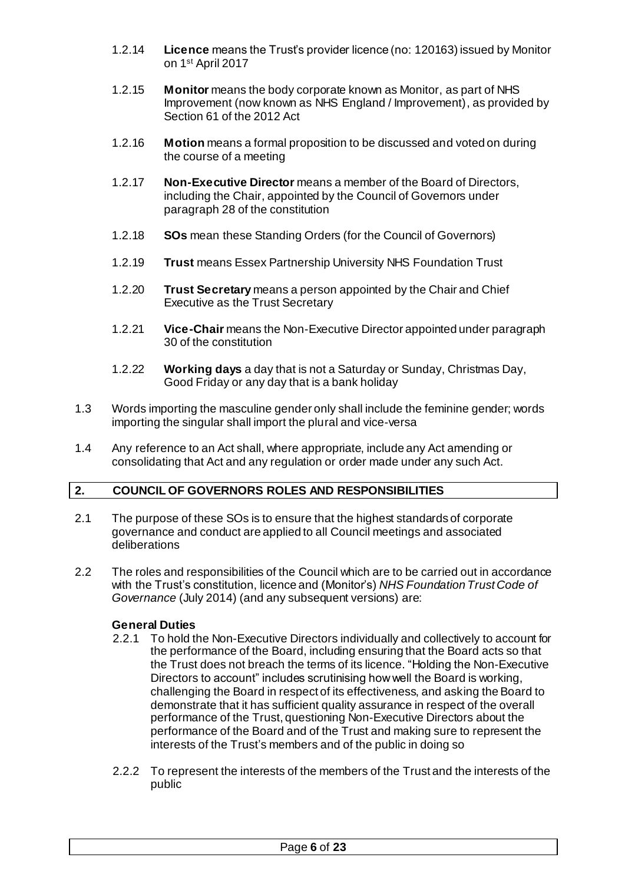- 1.2.14 **Licence** means the Trust's provider licence (no: 120163) issued by Monitor on 1 st April 2017
- 1.2.15 **Monitor** means the body corporate known as Monitor, as part of NHS Improvement (now known as NHS England / Improvement), as provided by Section 61 of the 2012 Act
- 1.2.16 **Motion** means a formal proposition to be discussed and voted on during the course of a meeting
- 1.2.17 **Non-Executive Director** means a member of the Board of Directors, including the Chair, appointed by the Council of Governors under paragraph 28 of the constitution
- 1.2.18 **SOs** mean these Standing Orders (for the Council of Governors)
- 1.2.19 **Trust** means Essex Partnership University NHS Foundation Trust
- 1.2.20 **Trust Secretary** means a person appointed by the Chair and Chief Executive as the Trust Secretary
- 1.2.21 **Vice-Chair** means the Non-Executive Director appointed under paragraph 30 of the constitution
- 1.2.22 **Working days** a day that is not a Saturday or Sunday, Christmas Day, Good Friday or any day that is a bank holiday
- 1.3 Words importing the masculine gender only shall include the feminine gender; words importing the singular shall import the plural and vice-versa
- 1.4 Any reference to an Act shall, where appropriate, include any Act amending or consolidating that Act and any regulation or order made under any such Act.

## <span id="page-5-0"></span>**2. COUNCIL OF GOVERNORS ROLES AND RESPONSIBILITIES**

- 2.1 The purpose of these SOs is to ensure that the highest standards of corporate governance and conduct are applied to all Council meetings and associated deliberations
- 2.2 The roles and responsibilities of the Council which are to be carried out in accordance with the Trust's constitution, licence and (Monitor's) *NHS Foundation Trust Code of Governance* (July 2014) (and any subsequent versions) are:

#### <span id="page-5-1"></span>**General Duties**

- 2.2.1 To hold the Non-Executive Directors individually and collectively to account for the performance of the Board, including ensuring that the Board acts so that the Trust does not breach the terms of its licence. "Holding the Non-Executive Directors to account" includes scrutinising how well the Board is working, challenging the Board in respect of its effectiveness, and asking the Board to demonstrate that it has sufficient quality assurance in respect of the overall performance of the Trust, questioning Non-Executive Directors about the performance of the Board and of the Trust and making sure to represent the interests of the Trust's members and of the public in doing so
- 2.2.2 To represent the interests of the members of the Trust and the interests of the public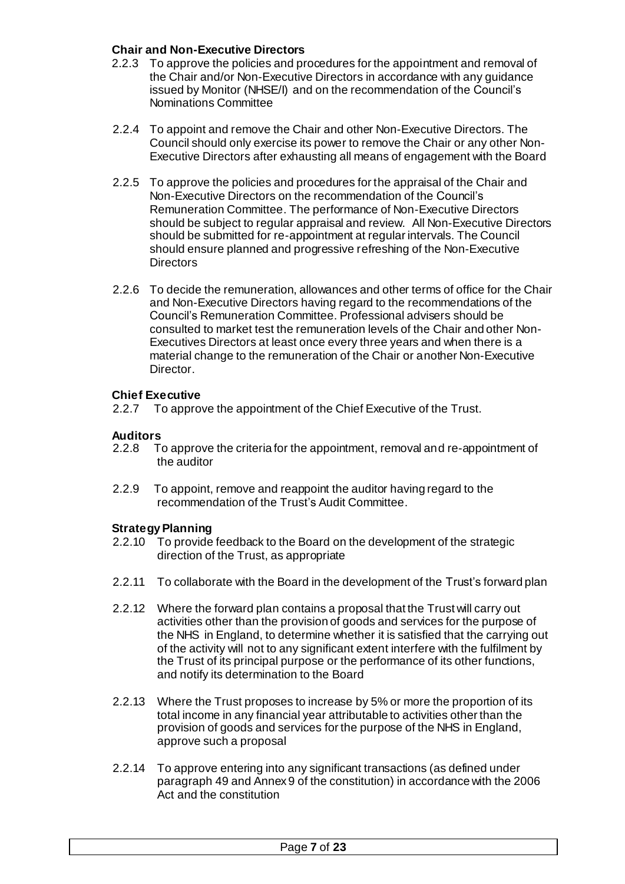## <span id="page-6-0"></span>**Chair and Non-Executive Directors**

- 2.2.3 To approve the policies and procedures for the appointment and removal of the Chair and/or Non-Executive Directors in accordance with any guidance issued by Monitor (NHSE/I) and on the recommendation of the Council's Nominations Committee
- 2.2.4 To appoint and remove the Chair and other Non-Executive Directors. The Council should only exercise its power to remove the Chair or any other Non-Executive Directors after exhausting all means of engagement with the Board
- 2.2.5 To approve the policies and procedures for the appraisal of the Chair and Non-Executive Directors on the recommendation of the Council's Remuneration Committee. The performance of Non-Executive Directors should be subject to regular appraisal and review. All Non-Executive Directors should be submitted for re-appointment at regular intervals. The Council should ensure planned and progressive refreshing of the Non-Executive **Directors**
- 2.2.6 To decide the remuneration, allowances and other terms of office for the Chair and Non-Executive Directors having regard to the recommendations of the Council's Remuneration Committee. Professional advisers should be consulted to market test the remuneration levels of the Chair and other Non-Executives Directors at least once every three years and when there is a material change to the remuneration of the Chair or another Non-Executive Director.

#### <span id="page-6-1"></span>**Chief Executive**

2.2.7 To approve the appointment of the Chief Executive of the Trust.

## <span id="page-6-2"></span>**Auditors**

- 2.2.8 To approve the criteria for the appointment, removal and re-appointment of the auditor
- 2.2.9 To appoint, remove and reappoint the auditor having regard to the recommendation of the Trust's Audit Committee.

#### <span id="page-6-3"></span>**Strategy Planning**

- 2.2.10 To provide feedback to the Board on the development of the strategic direction of the Trust, as appropriate
- 2.2.11 To collaborate with the Board in the development of the Trust's forward plan
- 2.2.12 Where the forward plan contains a proposal that the Trust will carry out activities other than the provision of goods and services for the purpose of the NHS in England, to determine whether it is satisfied that the carrying out of the activity will not to any significant extent interfere with the fulfilment by the Trust of its principal purpose or the performance of its other functions, and notify its determination to the Board
- 2.2.13 Where the Trust proposes to increase by 5% or more the proportion of its total income in any financial year attributable to activities other than the provision of goods and services for the purpose of the NHS in England, approve such a proposal
- 2.2.14 To approve entering into any significant transactions (as defined under paragraph 49 and Annex 9 of the constitution) in accordance with the 2006 Act and the constitution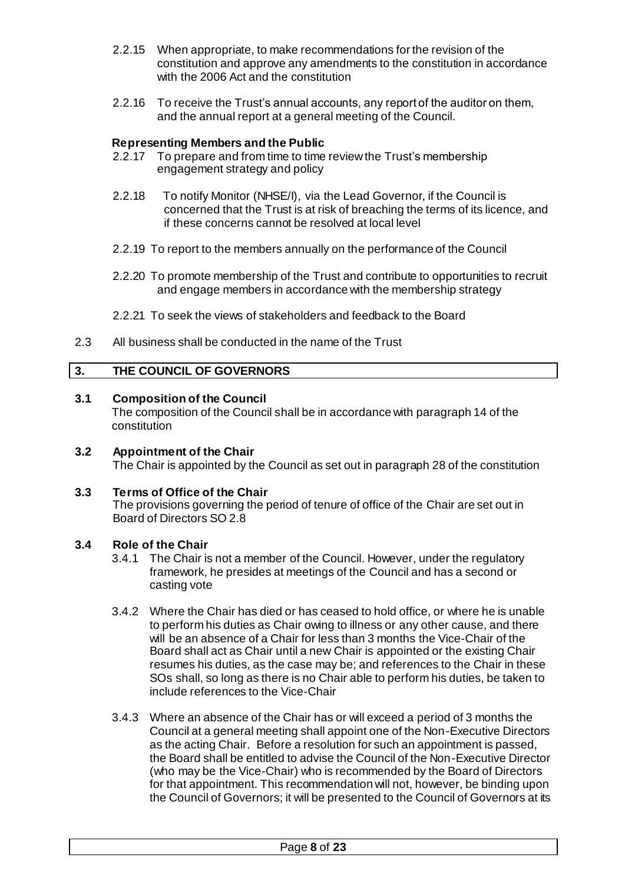- 2.2.15 When appropriate, to make recommendations for the revision of the constitution and approve any amendments to the constitution in accordance with the 2006 Act and the constitution
- 2.2.16 To receive the Trust's annual accounts, any report of the auditor on them, and the annual report at a general meeting of the Council.

#### <span id="page-7-0"></span>**Representing Members and the Public**

- 2.2.17 To prepare and from time to time review the Trust's membership engagement strategy and policy
- 2.2.18 To notify Monitor (NHSE/I), via the Lead Governor, if the Council is concerned that the Trust is at risk of breaching the terms of its licence, and if these concerns cannot be resolved at local level
- 2.2.19 To report to the members annually on the performance of the Council
- 2.2.20 To promote membership of the Trust and contribute to opportunities to recruit and engage members in accordance with the membership strategy
- 2.2.21 To seek the views of stakeholders and feedback to the Board
- 2.3 All business shall be conducted in the name of the Trust

## <span id="page-7-1"></span>**3. THE COUNCIL OF GOVERNORS**

#### <span id="page-7-2"></span>**3.1 Composition of the Council**

The composition of the Council shall be in accordance with paragraph 14 of the constitution

<span id="page-7-3"></span>**3.2 Appointment of the Chair** The Chair is appointed by the Council as set out in paragraph 28 of the constitution

#### <span id="page-7-4"></span>**3.3 Terms of Office of the Chair**

The provisions governing the period of tenure of office of the Chair are set out in Board of Directors SO 2.8

#### <span id="page-7-5"></span>**3.4 Role of the Chair**

- 3.4.1 The Chair is not a member of the Council. However, under the regulatory framework, he presides at meetings of the Council and has a second or casting vote
- 3.4.2 Where the Chair has died or has ceased to hold office, or where he is unable to perform his duties as Chair owing to illness or any other cause, and there will be an absence of a Chair for less than 3 months the Vice-Chair of the Board shall act as Chair until a new Chair is appointed or the existing Chair resumes his duties, as the case may be; and references to the Chair in these SOs shall, so long as there is no Chair able to perform his duties, be taken to include references to the Vice-Chair
- 3.4.3 Where an absence of the Chair has or will exceed a period of 3 months the Council at a general meeting shall appoint one of the Non-Executive Directors as the acting Chair. Before a resolution for such an appointment is passed, the Board shall be entitled to advise the Council of the Non-Executive Director (who may be the Vice-Chair) who is recommended by the Board of Directors for that appointment. This recommendation will not, however, be binding upon the Council of Governors; it will be presented to the Council of Governors at its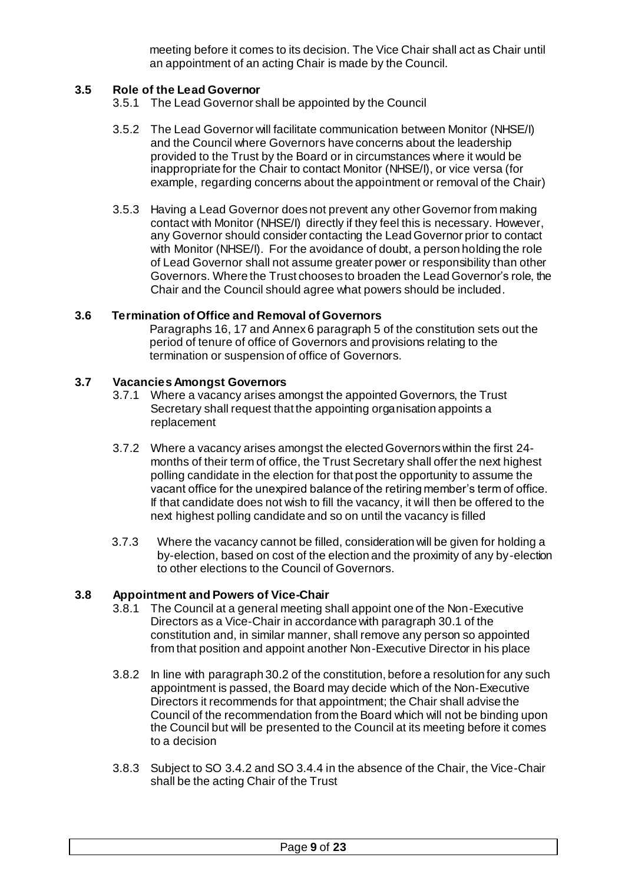meeting before it comes to its decision. The Vice Chair shall act as Chair until an appointment of an acting Chair is made by the Council.

#### <span id="page-8-0"></span>**3.5 Role of the Lead Governor**

- 3.5.1 The Lead Governor shall be appointed by the Council
- 3.5.2 The Lead Governor will facilitate communication between Monitor (NHSE/I) and the Council where Governors have concerns about the leadership provided to the Trust by the Board or in circumstances where it would be inappropriate for the Chair to contact Monitor (NHSE/I), or vice versa (for example, regarding concerns about the appointment or removal of the Chair)
- 3.5.3 Having a Lead Governor does not prevent any other Governor from making contact with Monitor (NHSE/I) directly if they feel this is necessary. However, any Governor should consider contacting the Lead Governor prior to contact with Monitor (NHSE/I). For the avoidance of doubt, a person holding the role of Lead Governor shall not assume greater power or responsibility than other Governors. Where the Trust chooses to broaden the Lead Governor's role, the Chair and the Council should agree what powers should be included.

## <span id="page-8-1"></span>**3.6 Termination of Office and Removal of Governors**

Paragraphs 16, 17 and Annex 6 paragraph 5 of the constitution sets out the period of tenure of office of Governors and provisions relating to the termination or suspension of office of Governors.

## <span id="page-8-2"></span>**3.7 Vacancies Amongst Governors**

- 3.7.1 Where a vacancy arises amongst the appointed Governors, the Trust Secretary shall request that the appointing organisation appoints a replacement
- 3.7.2 Where a vacancy arises amongst the elected Governors within the first 24 months of their term of office, the Trust Secretary shall offer the next highest polling candidate in the election for that post the opportunity to assume the vacant office for the unexpired balance of the retiring member's term of office. If that candidate does not wish to fill the vacancy, it will then be offered to the next highest polling candidate and so on until the vacancy is filled
- 3.7.3 Where the vacancy cannot be filled, consideration will be given for holding a by-election, based on cost of the election and the proximity of any by-election to other elections to the Council of Governors.

#### <span id="page-8-3"></span>**3.8 Appointment and Powers of Vice-Chair**

- 3.8.1 The Council at a general meeting shall appoint one of the Non-Executive Directors as a Vice-Chair in accordance with paragraph 30.1 of the constitution and, in similar manner, shall remove any person so appointed from that position and appoint another Non-Executive Director in his place
- 3.8.2 In line with paragraph 30.2 of the constitution, before a resolution for any such appointment is passed, the Board may decide which of the Non-Executive Directors it recommends for that appointment; the Chair shall advise the Council of the recommendation from the Board which will not be binding upon the Council but will be presented to the Council at its meeting before it comes to a decision
- 3.8.3 Subject to SO 3.4.2 and SO 3.4.4 in the absence of the Chair, the Vice-Chair shall be the acting Chair of the Trust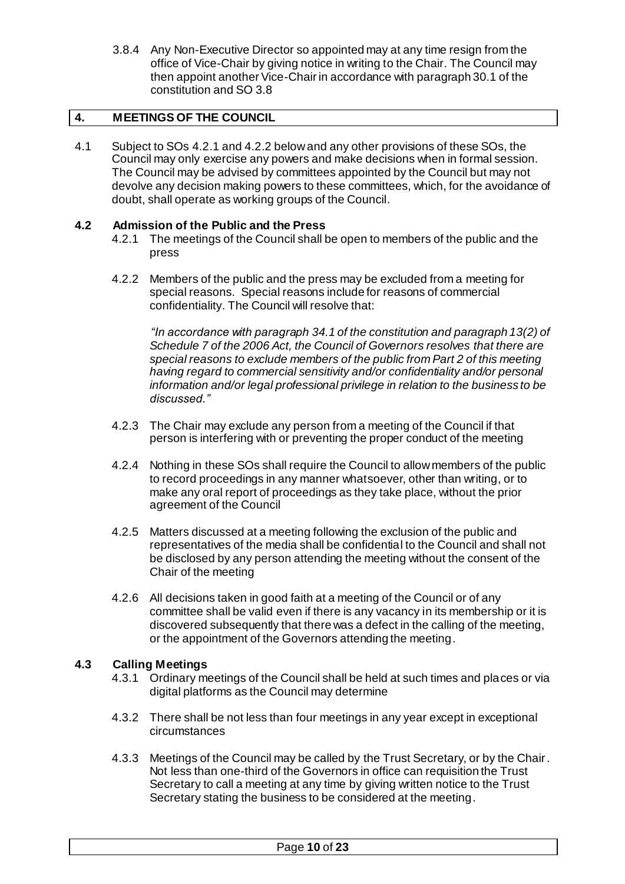3.8.4 Any Non-Executive Director so appointed may at any time resign from the office of Vice-Chair by giving notice in writing to the Chair. The Council may then appoint another Vice-Chair in accordance with paragraph 30.1 of the constitution and SO 3.8

#### <span id="page-9-0"></span>**4. MEETINGS OF THE COUNCIL**

4.1 Subject to SOs 4.2.1 and 4.2.2 below and any other provisions of these SOs, the Council may only exercise any powers and make decisions when in formal session. The Council may be advised by committees appointed by the Council but may not devolve any decision making powers to these committees, which, for the avoidance of doubt, shall operate as working groups of the Council.

#### <span id="page-9-1"></span>**4.2 Admission of the Public and the Press**

- 4.2.1 The meetings of the Council shall be open to members of the public and the press
- 4.2.2 Members of the public and the press may be excluded from a meeting for special reasons. Special reasons include for reasons of commercial confidentiality. The Council will resolve that:

*"In accordance with paragraph 34.1 of the constitution and paragraph 13(2) of Schedule 7 of the 2006 Act, the Council of Governors resolves that there are special reasons to exclude members of the public from Part 2 of this meeting having regard to commercial sensitivity and/or confidentiality and/or personal information and/or legal professional privilege in relation to the business to be discussed."*

- 4.2.3 The Chair may exclude any person from a meeting of the Council if that person is interfering with or preventing the proper conduct of the meeting
- 4.2.4 Nothing in these SOs shall require the Council to allow members of the public to record proceedings in any manner whatsoever, other than writing, or to make any oral report of proceedings as they take place, without the prior agreement of the Council
- 4.2.5 Matters discussed at a meeting following the exclusion of the public and representatives of the media shall be confidential to the Council and shall not be disclosed by any person attending the meeting without the consent of the Chair of the meeting
- 4.2.6 All decisions taken in good faith at a meeting of the Council or of any committee shall be valid even if there is any vacancy in its membership or it is discovered subsequently that there was a defect in the calling of the meeting, or the appointment of the Governors attending the meeting.

## <span id="page-9-2"></span>**4.3 Calling Meetings**

- 4.3.1 Ordinary meetings of the Council shall be held at such times and places or via digital platforms as the Council may determine
- 4.3.2 There shall be not less than four meetings in any year except in exceptional circumstances
- 4.3.3 Meetings of the Council may be called by the Trust Secretary, or by the Chair. Not less than one-third of the Governors in office can requisition the Trust Secretary to call a meeting at any time by giving written notice to the Trust Secretary stating the business to be considered at the meeting.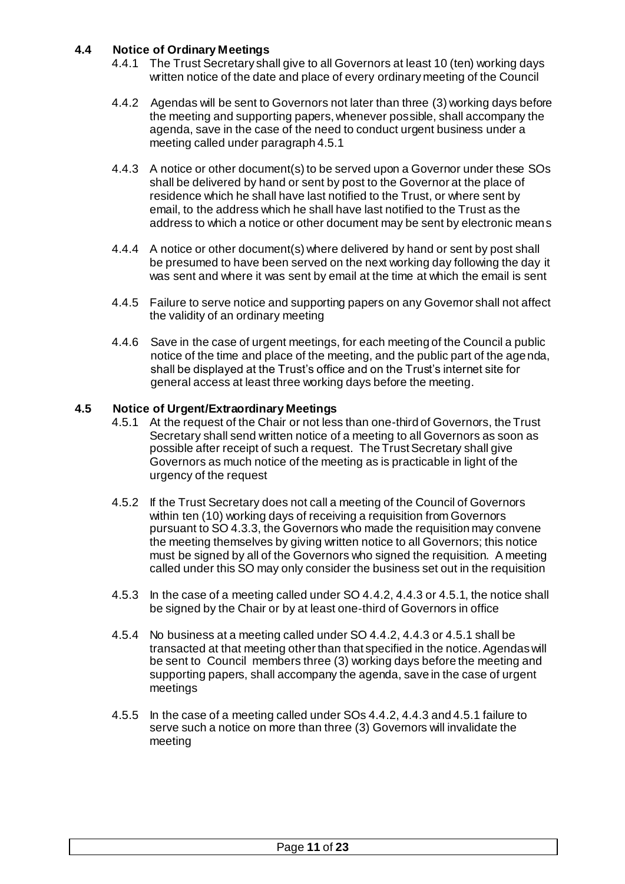## <span id="page-10-0"></span>**4.4 Notice of Ordinary Meetings**

- 4.4.1 The Trust Secretary shall give to all Governors at least 10 (ten) working days written notice of the date and place of every ordinary meeting of the Council
- 4.4.2 Agendas will be sent to Governors not later than three (3) working days before the meeting and supporting papers, whenever possible, shall accompany the agenda, save in the case of the need to conduct urgent business under a meeting called under paragraph 4.5.1
- 4.4.3 A notice or other document(s) to be served upon a Governor under these SOs shall be delivered by hand or sent by post to the Governor at the place of residence which he shall have last notified to the Trust, or where sent by email, to the address which he shall have last notified to the Trust as the address to which a notice or other document may be sent by electronic means
- 4.4.4 A notice or other document(s) where delivered by hand or sent by post shall be presumed to have been served on the next working day following the day it was sent and where it was sent by email at the time at which the email is sent
- 4.4.5 Failure to serve notice and supporting papers on any Governor shall not affect the validity of an ordinary meeting
- 4.4.6 Save in the case of urgent meetings, for each meeting of the Council a public notice of the time and place of the meeting, and the public part of the agenda, shall be displayed at the Trust's office and on the Trust's internet site for general access at least three working days before the meeting.

## <span id="page-10-1"></span>**4.5 Notice of Urgent/Extraordinary Meetings**

- 4.5.1 At the request of the Chair or not less than one-third of Governors, the Trust Secretary shall send written notice of a meeting to all Governors as soon as possible after receipt of such a request. The Trust Secretary shall give Governors as much notice of the meeting as is practicable in light of the urgency of the request
- 4.5.2 If the Trust Secretary does not call a meeting of the Council of Governors within ten (10) working days of receiving a requisition from Governors pursuant to SO 4.3.3, the Governors who made the requisition may convene the meeting themselves by giving written notice to all Governors; this notice must be signed by all of the Governors who signed the requisition. A meeting called under this SO may only consider the business set out in the requisition
- 4.5.3 In the case of a meeting called under SO 4.4.2, 4.4.3 or 4.5.1, the notice shall be signed by the Chair or by at least one-third of Governors in office
- 4.5.4 No business at a meeting called under SO 4.4.2, 4.4.3 or 4.5.1 shall be transacted at that meeting other than that specified in the notice. Agendas will be sent to Council members three (3) working days before the meeting and supporting papers, shall accompany the agenda, save in the case of urgent meetings
- 4.5.5 In the case of a meeting called under SOs 4.4.2, 4.4.3 and 4.5.1 failure to serve such a notice on more than three (3) Governors will invalidate the meeting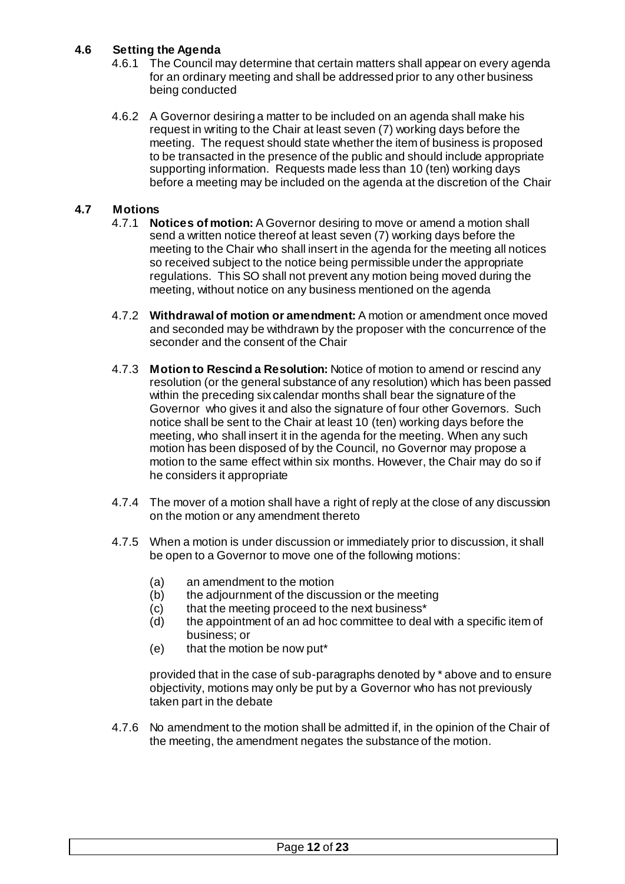# <span id="page-11-0"></span>**4.6 Setting the Agenda**

- 4.6.1 The Council may determine that certain matters shall appear on every agenda for an ordinary meeting and shall be addressed prior to any other business being conducted
- 4.6.2 A Governor desiring a matter to be included on an agenda shall make his request in writing to the Chair at least seven (7) working days before the meeting. The request should state whether the item of business is proposed to be transacted in the presence of the public and should include appropriate supporting information. Requests made less than 10 (ten) working days before a meeting may be included on the agenda at the discretion of the Chair

## <span id="page-11-1"></span>**4.7 Motions**

- 4.7.1 **Notices of motion:** A Governor desiring to move or amend a motion shall send a written notice thereof at least seven (7) working days before the meeting to the Chair who shall insert in the agenda for the meeting all notices so received subject to the notice being permissible under the appropriate regulations. This SO shall not prevent any motion being moved during the meeting, without notice on any business mentioned on the agenda
- 4.7.2 **Withdrawal of motion or amendment:** A motion or amendment once moved and seconded may be withdrawn by the proposer with the concurrence of the seconder and the consent of the Chair
- 4.7.3 **Motion to Rescind a Resolution:** Notice of motion to amend or rescind any resolution (or the general substance of any resolution) which has been passed within the preceding six calendar months shall bear the signature of the Governor who gives it and also the signature of four other Governors. Such notice shall be sent to the Chair at least 10 (ten) working days before the meeting, who shall insert it in the agenda for the meeting. When any such motion has been disposed of by the Council, no Governor may propose a motion to the same effect within six months. However, the Chair may do so if he considers it appropriate
- 4.7.4 The mover of a motion shall have a right of reply at the close of any discussion on the motion or any amendment thereto
- 4.7.5 When a motion is under discussion or immediately prior to discussion, it shall be open to a Governor to move one of the following motions:
	- (a) an amendment to the motion
	- (b) the adjournment of the discussion or the meeting
	- (c) that the meeting proceed to the next business\*
	- (d) the appointment of an ad hoc committee to deal with a specific item of business; or
	- (e) that the motion be now put\*

provided that in the case of sub-paragraphs denoted by \* above and to ensure objectivity, motions may only be put by a Governor who has not previously taken part in the debate

4.7.6 No amendment to the motion shall be admitted if, in the opinion of the Chair of the meeting, the amendment negates the substance of the motion.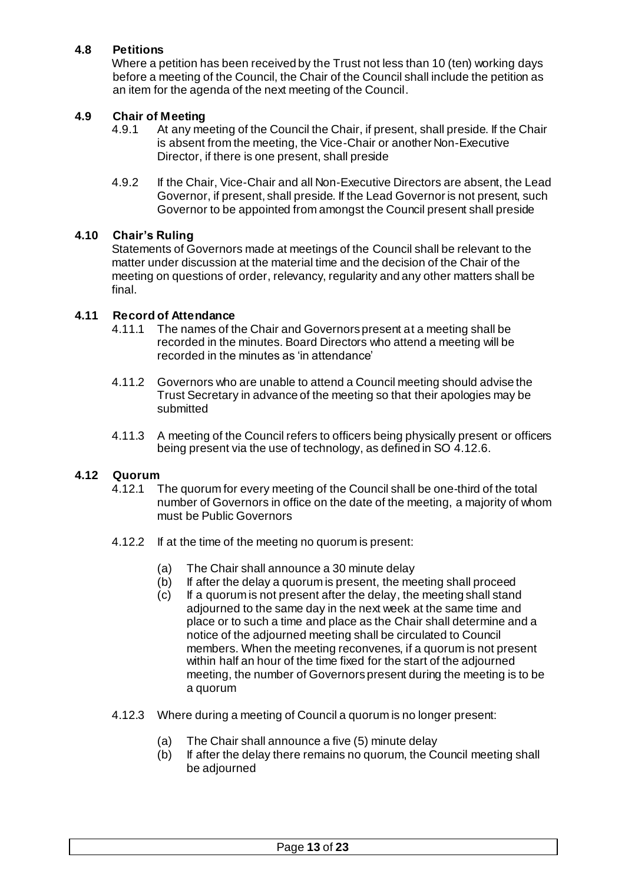# <span id="page-12-0"></span>**4.8 Petitions**

Where a petition has been received by the Trust not less than 10 (ten) working days before a meeting of the Council, the Chair of the Council shall include the petition as an item for the agenda of the next meeting of the Council.

## <span id="page-12-1"></span>**4.9 Chair of Meeting**

- 4.9.1 At any meeting of the Council the Chair, if present, shall preside. If the Chair is absent from the meeting, the Vice-Chair or another Non-Executive Director, if there is one present, shall preside
- 4.9.2 If the Chair, Vice-Chair and all Non-Executive Directors are absent, the Lead Governor, if present, shall preside. If the Lead Governor is not present, such Governor to be appointed from amongst the Council present shall preside

#### <span id="page-12-2"></span>**4.10 Chair's Ruling**

Statements of Governors made at meetings of the Council shall be relevant to the matter under discussion at the material time and the decision of the Chair of the meeting on questions of order, relevancy, regularity and any other matters shall be final.

## <span id="page-12-3"></span>**4.11 Record of Attendance**

- 4.11.1 The names of the Chair and Governors present at a meeting shall be recorded in the minutes. Board Directors who attend a meeting will be recorded in the minutes as 'in attendance'
- 4.11.2 Governors who are unable to attend a Council meeting should advise the Trust Secretary in advance of the meeting so that their apologies may be submitted
- 4.11.3 A meeting of the Council refers to officers being physically present or officers being present via the use of technology, as defined in SO 4.12.6.

## <span id="page-12-4"></span>**4.12 Quorum**

- 4.12.1 The quorum for every meeting of the Council shall be one-third of the total number of Governors in office on the date of the meeting, a majority of whom must be Public Governors
- 4.12.2 If at the time of the meeting no quorum is present:
	- (a) The Chair shall announce a 30 minute delay
	- (b) If after the delay a quorum is present, the meeting shall proceed
	- (c) If a quorum is not present after the delay, the meeting shall stand adjourned to the same day in the next week at the same time and place or to such a time and place as the Chair shall determine and a notice of the adjourned meeting shall be circulated to Council members. When the meeting reconvenes, if a quorum is not present within half an hour of the time fixed for the start of the adjourned meeting, the number of Governors present during the meeting is to be a quorum
- 4.12.3 Where during a meeting of Council a quorum is no longer present:
	- (a) The Chair shall announce a five (5) minute delay
	- (b) If after the delay there remains no quorum, the Council meeting shall be adjourned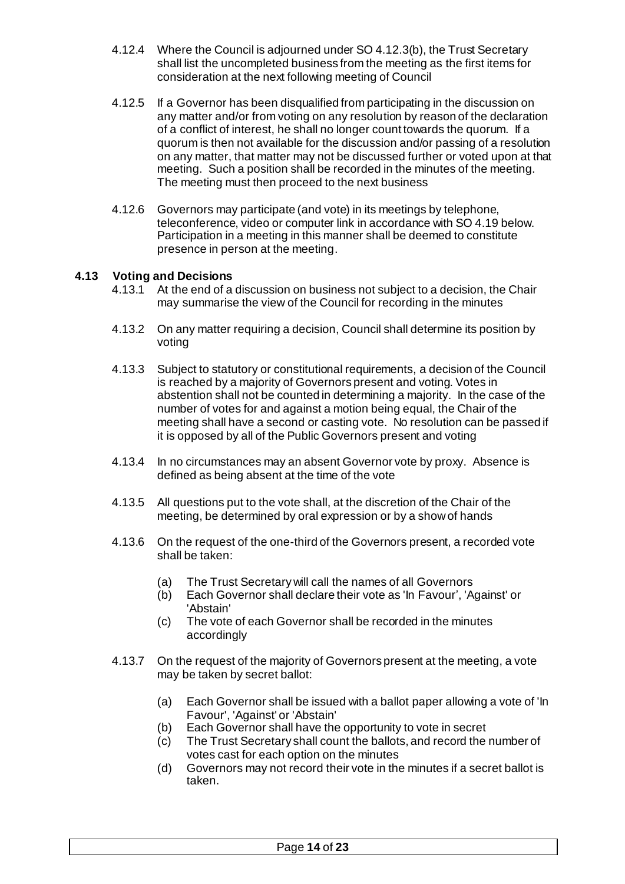- 4.12.4 Where the Council is adjourned under SO 4.12.3(b), the Trust Secretary shall list the uncompleted business from the meeting as the first items for consideration at the next following meeting of Council
- 4.12.5 If a Governor has been disqualified from participating in the discussion on any matter and/or from voting on any resolution by reason of the declaration of a conflict of interest, he shall no longer count towards the quorum. If a quorum is then not available for the discussion and/or passing of a resolution on any matter, that matter may not be discussed further or voted upon at that meeting. Such a position shall be recorded in the minutes of the meeting. The meeting must then proceed to the next business
- 4.12.6 Governors may participate (and vote) in its meetings by telephone, teleconference, video or computer link in accordance with SO 4.19 below. Participation in a meeting in this manner shall be deemed to constitute presence in person at the meeting.

#### <span id="page-13-0"></span>**4.13 Voting and Decisions**

- 4.13.1 At the end of a discussion on business not subject to a decision, the Chair may summarise the view of the Council for recording in the minutes
- 4.13.2 On any matter requiring a decision, Council shall determine its position by voting
- 4.13.3 Subject to statutory or constitutional requirements, a decision of the Council is reached by a majority of Governors present and voting. Votes in abstention shall not be counted in determining a majority. In the case of the number of votes for and against a motion being equal, the Chair of the meeting shall have a second or casting vote. No resolution can be passed if it is opposed by all of the Public Governors present and voting
- 4.13.4 In no circumstances may an absent Governor vote by proxy. Absence is defined as being absent at the time of the vote
- 4.13.5 All questions put to the vote shall, at the discretion of the Chair of the meeting, be determined by oral expression or by a show of hands
- 4.13.6 On the request of the one-third of the Governors present, a recorded vote shall be taken:
	- (a) The Trust Secretary will call the names of all Governors
	- (b) Each Governor shall declare their vote as 'In Favour', 'Against' or 'Abstain'
	- (c) The vote of each Governor shall be recorded in the minutes accordingly
- 4.13.7 On the request of the majority of Governors present at the meeting, a vote may be taken by secret ballot:
	- (a) Each Governor shall be issued with a ballot paper allowing a vote of 'In Favour', 'Against' or 'Abstain'
	- (b) Each Governor shall have the opportunity to vote in secret
	- (c) The Trust Secretary shall count the ballots, and record the number of votes cast for each option on the minutes
	- (d) Governors may not record their vote in the minutes if a secret ballot is taken.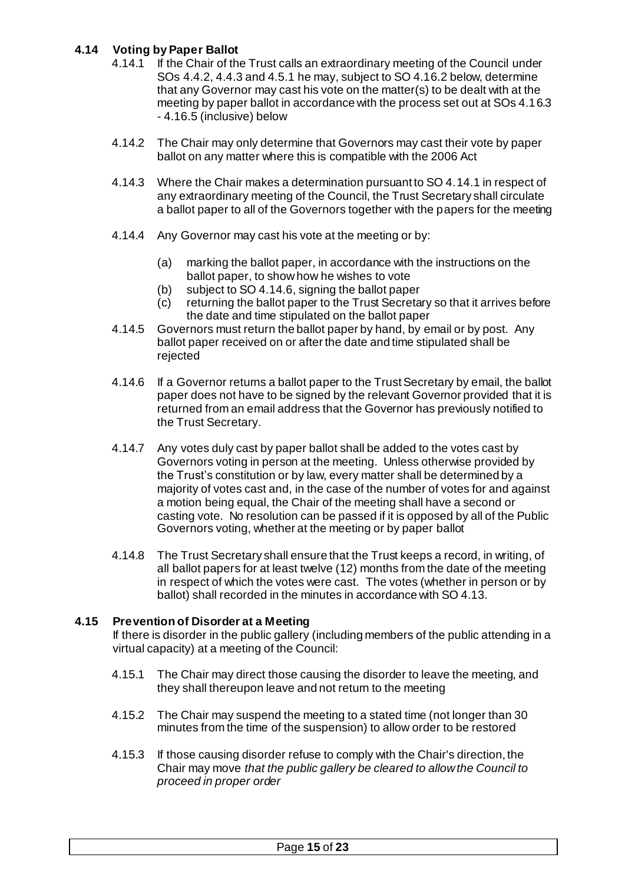# <span id="page-14-0"></span>**4.14 Voting by Paper Ballot**

- 4.14.1 If the Chair of the Trust calls an extraordinary meeting of the Council under SOs 4.4.2, 4.4.3 and 4.5.1 he may, subject to SO 4.16.2 below, determine that any Governor may cast his vote on the matter(s) to be dealt with at the meeting by paper ballot in accordance with the process set out at SOs 4.16.3 - 4.16.5 (inclusive) below
- 4.14.2 The Chair may only determine that Governors may cast their vote by paper ballot on any matter where this is compatible with the 2006 Act
- 4.14.3 Where the Chair makes a determination pursuant to SO 4.14.1 in respect of any extraordinary meeting of the Council, the Trust Secretary shall circulate a ballot paper to all of the Governors together with the papers for the meeting
- 4.14.4 Any Governor may cast his vote at the meeting or by:
	- (a) marking the ballot paper, in accordance with the instructions on the ballot paper, to show how he wishes to vote
	- (b) subject to SO 4.14.6, signing the ballot paper
	- (c) returning the ballot paper to the Trust Secretary so that it arrives before the date and time stipulated on the ballot paper
- 4.14.5 Governors must return the ballot paper by hand, by email or by post. Any ballot paper received on or after the date and time stipulated shall be rejected
- 4.14.6 If a Governor returns a ballot paper to the Trust Secretary by email, the ballot paper does not have to be signed by the relevant Governor provided that it is returned from an email address that the Governor has previously notified to the Trust Secretary.
- 4.14.7 Any votes duly cast by paper ballot shall be added to the votes cast by Governors voting in person at the meeting. Unless otherwise provided by the Trust's constitution or by law, every matter shall be determined by a majority of votes cast and, in the case of the number of votes for and against a motion being equal, the Chair of the meeting shall have a second or casting vote. No resolution can be passed if it is opposed by all of the Public Governors voting, whether at the meeting or by paper ballot
- 4.14.8 The Trust Secretary shall ensure that the Trust keeps a record, in writing, of all ballot papers for at least twelve (12) months from the date of the meeting in respect of which the votes were cast. The votes (whether in person or by ballot) shall recorded in the minutes in accordance with SO 4.13.

## <span id="page-14-1"></span>**4.15 Prevention of Disorder at a Meeting**

If there is disorder in the public gallery (including members of the public attending in a virtual capacity) at a meeting of the Council:

- 4.15.1 The Chair may direct those causing the disorder to leave the meeting, and they shall thereupon leave and not return to the meeting
- 4.15.2 The Chair may suspend the meeting to a stated time (not longer than 30 minutes from the time of the suspension) to allow order to be restored
- 4.15.3 If those causing disorder refuse to comply with the Chair's direction, the Chair may move *that the public gallery be cleared to allow the Council to proceed in proper order*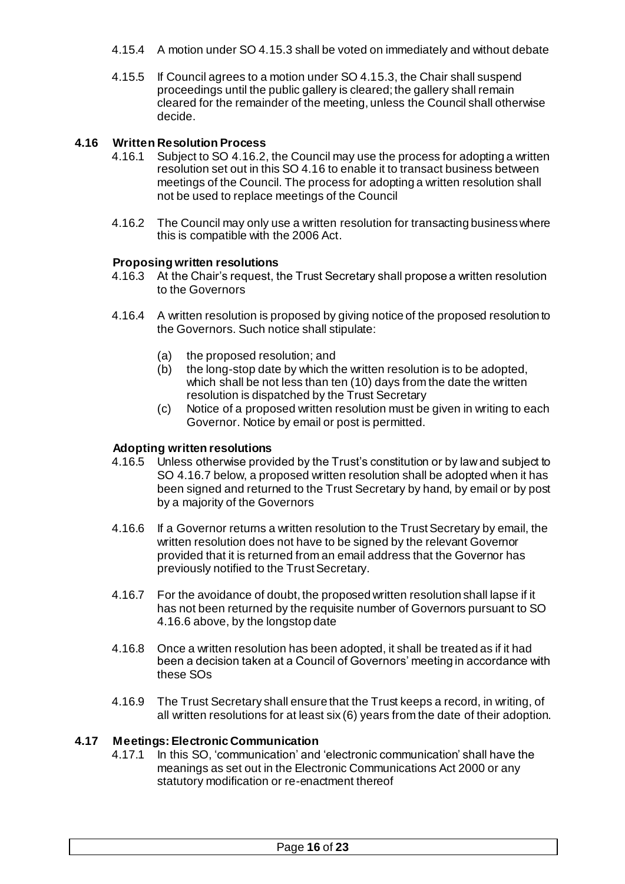- 4.15.4 A motion under SO 4.15.3 shall be voted on immediately and without debate
- 4.15.5 If Council agrees to a motion under SO 4.15.3, the Chair shall suspend proceedings until the public gallery is cleared; the gallery shall remain cleared for the remainder of the meeting, unless the Council shall otherwise decide.

## <span id="page-15-0"></span>**4.16 Written Resolution Process**

- 4.16.1 Subject to SO 4.16.2, the Council may use the process for adopting a written resolution set out in this SO 4.16 to enable it to transact business between meetings of the Council. The process for adopting a written resolution shall not be used to replace meetings of the Council
- 4.16.2 The Council may only use a written resolution for transacting business where this is compatible with the 2006 Act.

#### **Proposing written resolutions**

- 4.16.3 At the Chair's request, the Trust Secretary shall propose a written resolution to the Governors
- 4.16.4 A written resolution is proposed by giving notice of the proposed resolution to the Governors. Such notice shall stipulate:
	- (a) the proposed resolution; and
	- (b) the long-stop date by which the written resolution is to be adopted, which shall be not less than ten (10) days from the date the written resolution is dispatched by the Trust Secretary
	- (c) Notice of a proposed written resolution must be given in writing to each Governor. Notice by email or post is permitted.

#### **Adopting written resolutions**

- 4.16.5 Unless otherwise provided by the Trust's constitution or by law and subject to SO 4.16.7 below, a proposed written resolution shall be adopted when it has been signed and returned to the Trust Secretary by hand, by email or by post by a majority of the Governors
- 4.16.6 If a Governor returns a written resolution to the Trust Secretary by email, the written resolution does not have to be signed by the relevant Governor provided that it is returned from an email address that the Governor has previously notified to the Trust Secretary.
- 4.16.7 For the avoidance of doubt, the proposed written resolution shall lapse if it has not been returned by the requisite number of Governors pursuant to SO 4.16.6 above, by the longstop date
- 4.16.8 Once a written resolution has been adopted, it shall be treated as if it had been a decision taken at a Council of Governors' meeting in accordance with these SOs
- 4.16.9 The Trust Secretary shall ensure that the Trust keeps a record, in writing, of all written resolutions for at least six (6) years from the date of their adoption.

#### <span id="page-15-1"></span>**4.17 Meetings: Electronic Communication**

4.17.1 In this SO, 'communication' and 'electronic communication' shall have the meanings as set out in the Electronic Communications Act 2000 or any statutory modification or re-enactment thereof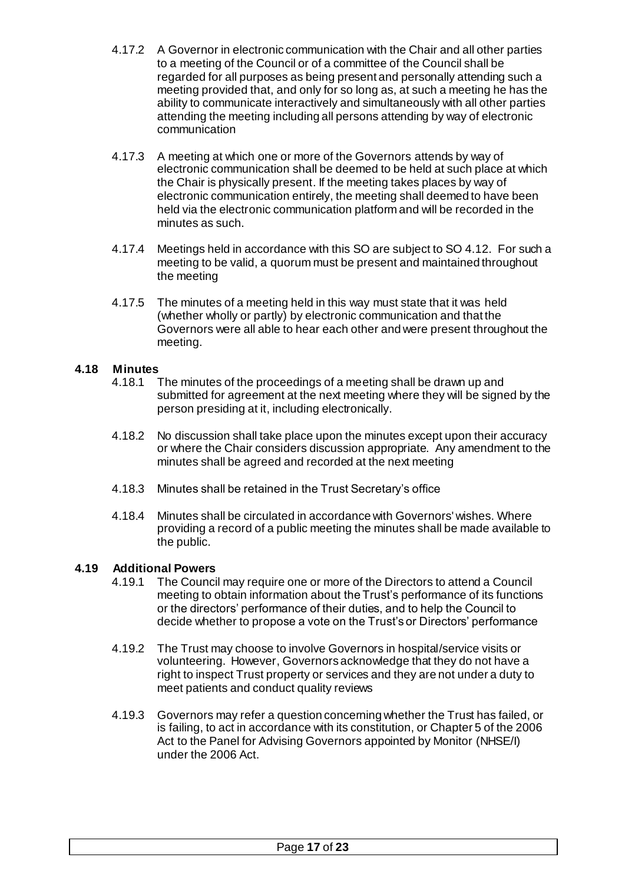- 4.17.2 A Governor in electronic communication with the Chair and all other parties to a meeting of the Council or of a committee of the Council shall be regarded for all purposes as being present and personally attending such a meeting provided that, and only for so long as, at such a meeting he has the ability to communicate interactively and simultaneously with all other parties attending the meeting including all persons attending by way of electronic communication
- 4.17.3 A meeting at which one or more of the Governors attends by way of electronic communication shall be deemed to be held at such place at which the Chair is physically present. If the meeting takes places by way of electronic communication entirely, the meeting shall deemed to have been held via the electronic communication platform and will be recorded in the minutes as such.
- 4.17.4 Meetings held in accordance with this SO are subject to SO 4.12. For such a meeting to be valid, a quorum must be present and maintained throughout the meeting
- 4.17.5 The minutes of a meeting held in this way must state that it was held (whether wholly or partly) by electronic communication and that the Governors were all able to hear each other and were present throughout the meeting.

# <span id="page-16-0"></span>**4.18 Minutes**

- The minutes of the proceedings of a meeting shall be drawn up and submitted for agreement at the next meeting where they will be signed by the person presiding at it, including electronically.
- 4.18.2 No discussion shall take place upon the minutes except upon their accuracy or where the Chair considers discussion appropriate. Any amendment to the minutes shall be agreed and recorded at the next meeting
- 4.18.3 Minutes shall be retained in the Trust Secretary's office
- 4.18.4 Minutes shall be circulated in accordance with Governors' wishes. Where providing a record of a public meeting the minutes shall be made available to the public.

## <span id="page-16-1"></span>**4.19 Additional Powers**

- 4.19.1 The Council may require one or more of the Directors to attend a Council meeting to obtain information about the Trust's performance of its functions or the directors' performance of their duties, and to help the Council to decide whether to propose a vote on the Trust's or Directors' performance
- 4.19.2 The Trust may choose to involve Governors in hospital/service visits or volunteering. However, Governors acknowledge that they do not have a right to inspect Trust property or services and they are not under a duty to meet patients and conduct quality reviews
- 4.19.3 Governors may refer a question concerning whether the Trust has failed, or is failing, to act in accordance with its constitution, or Chapter 5 of the 2006 Act to the Panel for Advising Governors appointed by Monitor (NHSE/I) under the 2006 Act.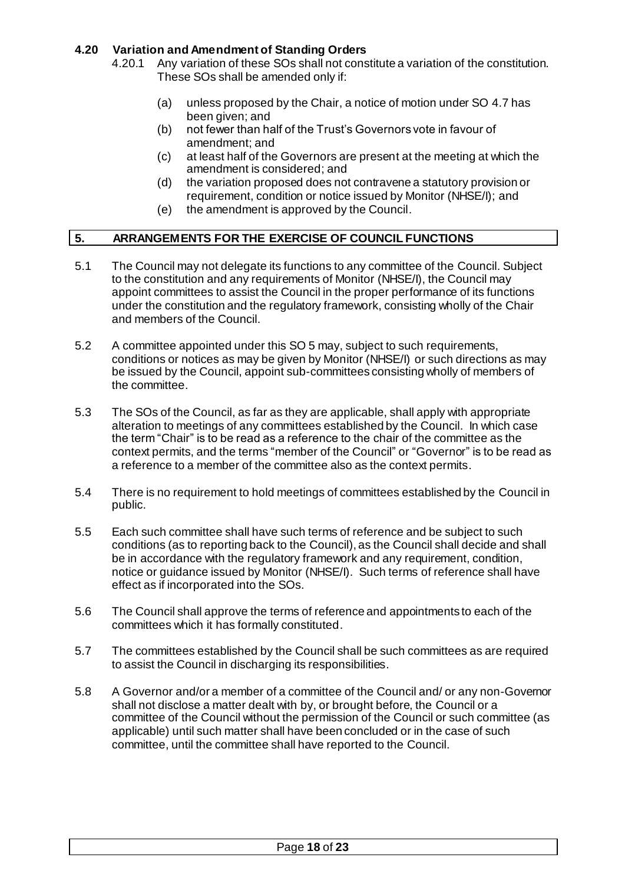## <span id="page-17-0"></span>**4.20 Variation and Amendment of Standing Orders**

4.20.1 Any variation of these SOs shall not constitute a variation of the constitution. These SOs shall be amended only if:

- (a) unless proposed by the Chair, a notice of motion under SO 4.7 has been given; and
- (b) not fewer than half of the Trust's Governors vote in favour of amendment; and
- (c) at least half of the Governors are present at the meeting at which the amendment is considered; and
- (d) the variation proposed does not contravene a statutory provision or requirement, condition or notice issued by Monitor (NHSE/I); and
- (e) the amendment is approved by the Council.

# <span id="page-17-1"></span>**5. ARRANGEMENTS FOR THE EXERCISE OF COUNCIL FUNCTIONS**

- 5.1 The Council may not delegate its functions to any committee of the Council. Subject to the constitution and any requirements of Monitor (NHSE/I), the Council may appoint committees to assist the Council in the proper performance of its functions under the constitution and the regulatory framework, consisting wholly of the Chair and members of the Council.
- 5.2 A committee appointed under this SO 5 may, subject to such requirements, conditions or notices as may be given by Monitor (NHSE/I) or such directions as may be issued by the Council, appoint sub-committees consisting wholly of members of the committee.
- 5.3 The SOs of the Council, as far as they are applicable, shall apply with appropriate alteration to meetings of any committees established by the Council. In which case the term "Chair" is to be read as a reference to the chair of the committee as the context permits, and the terms "member of the Council" or "Governor" is to be read as a reference to a member of the committee also as the context permits.
- 5.4 There is no requirement to hold meetings of committees established by the Council in public.
- 5.5 Each such committee shall have such terms of reference and be subject to such conditions (as to reporting back to the Council), as the Council shall decide and shall be in accordance with the regulatory framework and any requirement, condition, notice or guidance issued by Monitor (NHSE/I). Such terms of reference shall have effect as if incorporated into the SOs.
- 5.6 The Council shall approve the terms of reference and appointments to each of the committees which it has formally constituted.
- 5.7 The committees established by the Council shall be such committees as are required to assist the Council in discharging its responsibilities.
- 5.8 A Governor and/or a member of a committee of the Council and/ or any non-Governor shall not disclose a matter dealt with by, or brought before, the Council or a committee of the Council without the permission of the Council or such committee (as applicable) until such matter shall have been concluded or in the case of such committee, until the committee shall have reported to the Council.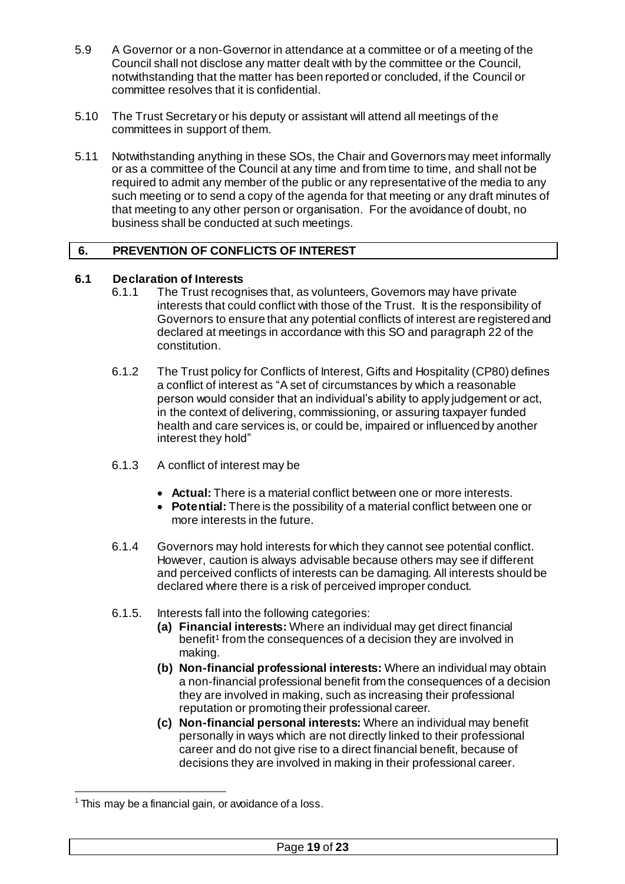- 5.9 A Governor or a non-Governor in attendance at a committee or of a meeting of the Council shall not disclose any matter dealt with by the committee or the Council, notwithstanding that the matter has been reported or concluded, if the Council or committee resolves that it is confidential.
- 5.10 The Trust Secretary or his deputy or assistant will attend all meetings of the committees in support of them.
- 5.11 Notwithstanding anything in these SOs, the Chair and Governors may meet informally or as a committee of the Council at any time and from time to time, and shall not be required to admit any member of the public or any representative of the media to any such meeting or to send a copy of the agenda for that meeting or any draft minutes of that meeting to any other person or organisation. For the avoidance of doubt, no business shall be conducted at such meetings.

## <span id="page-18-0"></span>**6. PREVENTION OF CONFLICTS OF INTEREST**

# <span id="page-18-1"></span>**6.1 Declaration of Interests**

- The Trust recognises that, as volunteers, Governors may have private interests that could conflict with those of the Trust. It is the responsibility of Governors to ensure that any potential conflicts of interest are registered and declared at meetings in accordance with this SO and paragraph 22 of the constitution.
- 6.1.2 The Trust policy for Conflicts of Interest, Gifts and Hospitality (CP80) defines a conflict of interest as "A set of circumstances by which a reasonable person would consider that an individual's ability to apply judgement or act, in the context of delivering, commissioning, or assuring taxpayer funded health and care services is, or could be, impaired or influenced by another interest they hold"
- 6.1.3 A conflict of interest may be
	- **Actual:** There is a material conflict between one or more interests.
	- **Potential:** There is the possibility of a material conflict between one or more interests in the future.
- 6.1.4 Governors may hold interests for which they cannot see potential conflict. However, caution is always advisable because others may see if different and perceived conflicts of interests can be damaging. All interests should be declared where there is a risk of perceived improper conduct.
- 6.1.5. Interests fall into the following categories:
	- **(a) Financial interests:** Where an individual may get direct financial benefit<sup>1</sup> from the consequences of a decision they are involved in making.
	- **(b) Non-financial professional interests:** Where an individual may obtain a non-financial professional benefit from the consequences of a decision they are involved in making, such as increasing their professional reputation or promoting their professional career.
	- **(c) Non-financial personal interests:** Where an individual may benefit personally in ways which are not directly linked to their professional career and do not give rise to a direct financial benefit, because of decisions they are involved in making in their professional career.

.

 $1$  This may be a financial gain, or avoidance of a loss.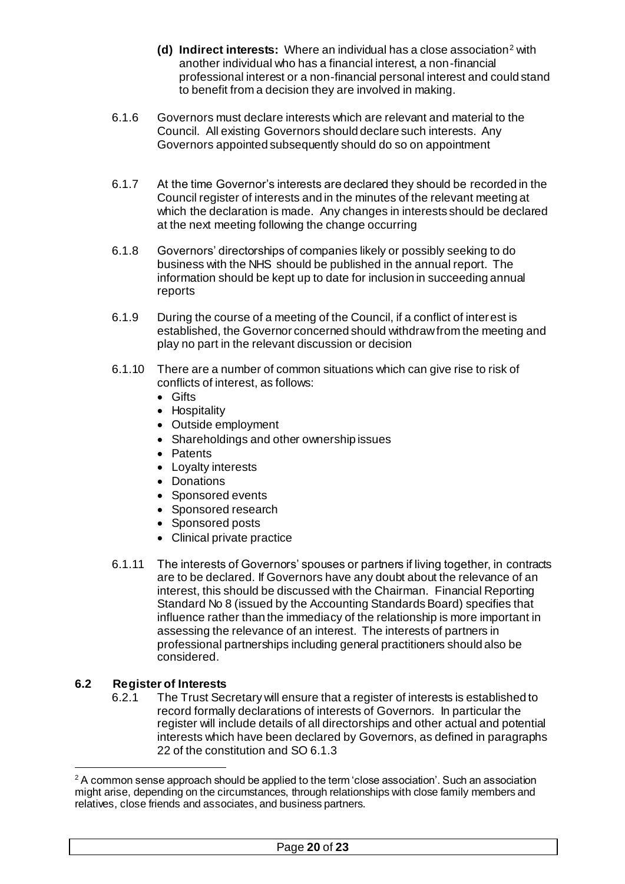- **(d) Indirect interests:** Where an individual has a close association<sup>2</sup> with another individual who has a financial interest, a non-financial professional interest or a non-financial personal interest and could stand to benefit from a decision they are involved in making.
- 6.1.6 Governors must declare interests which are relevant and material to the Council. All existing Governors should declare such interests. Any Governors appointed subsequently should do so on appointment
- 6.1.7 At the time Governor's interests are declared they should be recorded in the Council register of interests and in the minutes of the relevant meeting at which the declaration is made. Any changes in interests should be declared at the next meeting following the change occurring
- 6.1.8 Governors' directorships of companies likely or possibly seeking to do business with the NHS should be published in the annual report. The information should be kept up to date for inclusion in succeeding annual reports
- 6.1.9 During the course of a meeting of the Council, if a conflict of interest is established, the Governor concerned should withdraw from the meeting and play no part in the relevant discussion or decision
- 6.1.10 There are a number of common situations which can give rise to risk of conflicts of interest, as follows:
	- **•** Gifts
	- Hospitality
	- Outside employment
	- Shareholdings and other ownership issues
	- Patents
	- Loyalty interests
	- Donations
	- Sponsored events
	- Sponsored research
	- Sponsored posts
	- Clinical private practice
- 6.1.11 The interests of Governors' spouses or partners if living together, in contracts are to be declared. If Governors have any doubt about the relevance of an interest, this should be discussed with the Chairman. Financial Reporting Standard No 8 (issued by the Accounting Standards Board) specifies that influence rather than the immediacy of the relationship is more important in assessing the relevance of an interest. The interests of partners in professional partnerships including general practitioners should also be considered.

# <span id="page-19-0"></span>**6.2 Register of Interests**

1

6.2.1 The Trust Secretary will ensure that a register of interests is established to record formally declarations of interests of Governors. In particular the register will include details of all directorships and other actual and potential interests which have been declared by Governors, as defined in paragraphs 22 of the constitution and SO 6.1.3

 $2$  A common sense approach should be applied to the term 'close association'. Such an association might arise, depending on the circumstances, through relationships with close family members and relatives, close friends and associates, and business partners.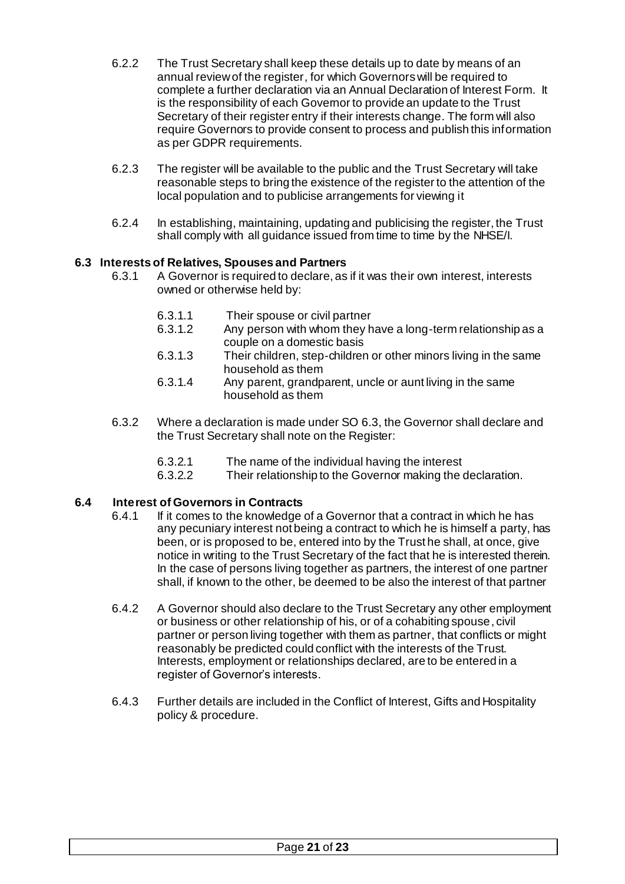- 6.2.2 The Trust Secretary shall keep these details up to date by means of an annual review of the register, for which Governors will be required to complete a further declaration via an Annual Declaration of Interest Form. It is the responsibility of each Governor to provide an update to the Trust Secretary of their register entry if their interests change. The form will also require Governors to provide consent to process and publish this information as per GDPR requirements.
- 6.2.3 The register will be available to the public and the Trust Secretary will take reasonable steps to bring the existence of the register to the attention of the local population and to publicise arrangements for viewing it
- 6.2.4 In establishing, maintaining, updating and publicising the register, the Trust shall comply with all guidance issued from time to time by the NHSE/I.

## <span id="page-20-0"></span>**6.3 Interests of Relatives, Spouses and Partners**

- 6.3.1 A Governor is required to declare, as if it was their own interest, interests owned or otherwise held by:
	- 6.3.1.1 Their spouse or civil partner<br>6.3.1.2 Any person with whom they h
	- Any person with whom they have a long-term relationship as a couple on a domestic basis
	- 6.3.1.3 Their children, step-children or other minors living in the same household as them
	- 6.3.1.4 Any parent, grandparent, uncle or aunt living in the same household as them
- 6.3.2 Where a declaration is made under SO 6.3, the Governor shall declare and the Trust Secretary shall note on the Register:
	- 6.3.2.1 The name of the individual having the interest
	- 6.3.2.2 Their relationship to the Governor making the declaration.

#### <span id="page-20-1"></span>**6.4 Interest of Governors in Contracts**

- 6.4.1 If it comes to the knowledge of a Governor that a contract in which he has any pecuniary interest not being a contract to which he is himself a party, has been, or is proposed to be, entered into by the Trust he shall, at once, give notice in writing to the Trust Secretary of the fact that he is interested therein. In the case of persons living together as partners, the interest of one partner shall, if known to the other, be deemed to be also the interest of that partner
- 6.4.2 A Governor should also declare to the Trust Secretary any other employment or business or other relationship of his, or of a cohabiting spouse, civil partner or person living together with them as partner, that conflicts or might reasonably be predicted could conflict with the interests of the Trust. Interests, employment or relationships declared, are to be entered in a register of Governor's interests.
- 6.4.3 Further details are included in the Conflict of Interest, Gifts and Hospitality policy & procedure.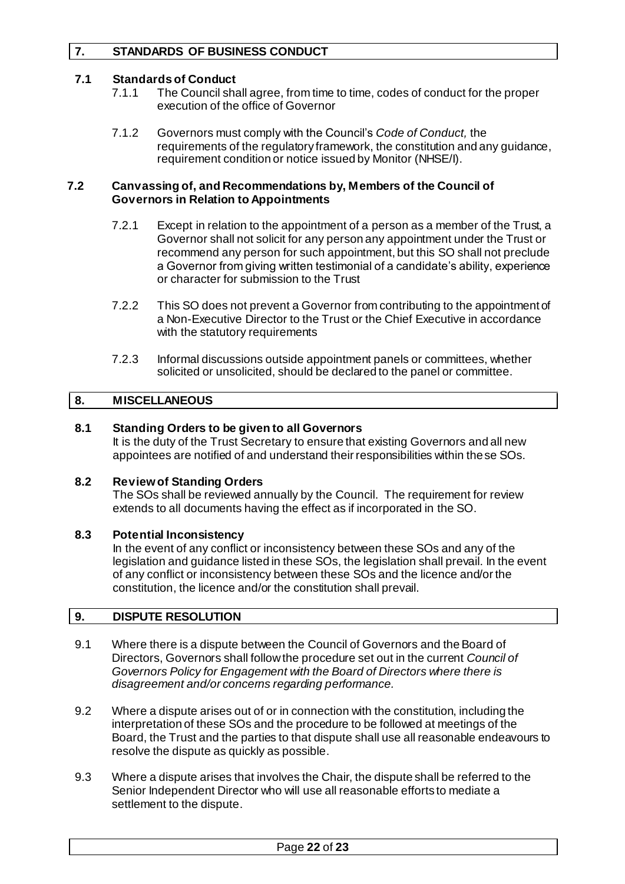# <span id="page-21-0"></span>**7. STANDARDS OF BUSINESS CONDUCT**

#### <span id="page-21-1"></span>**7.1 Standards of Conduct**

- 7.1.1 The Council shall agree, from time to time, codes of conduct for the proper execution of the office of Governor
- 7.1.2 Governors must comply with the Council's *Code of Conduct,* the requirements of the regulatory framework, the constitution and any guidance, requirement condition or notice issued by Monitor (NHSE/I).

#### <span id="page-21-2"></span>**7.2 Canvassing of, and Recommendations by, Members of the Council of Governors in Relation to Appointments**

- 7.2.1 Except in relation to the appointment of a person as a member of the Trust, a Governor shall not solicit for any person any appointment under the Trust or recommend any person for such appointment, but this SO shall not preclude a Governor from giving written testimonial of a candidate's ability, experience or character for submission to the Trust
- 7.2.2 This SO does not prevent a Governor from contributing to the appointment of a Non-Executive Director to the Trust or the Chief Executive in accordance with the statutory requirements
- 7.2.3 Informal discussions outside appointment panels or committees, whether solicited or unsolicited, should be declared to the panel or committee.

## <span id="page-21-3"></span>**8. MISCELLANEOUS**

#### <span id="page-21-4"></span>**8.1 Standing Orders to be given to all Governors**

It is the duty of the Trust Secretary to ensure that existing Governors and all new appointees are notified of and understand their responsibilities within these SOs.

#### <span id="page-21-5"></span>**8.2 Review of Standing Orders**

The SOs shall be reviewed annually by the Council. The requirement for review extends to all documents having the effect as if incorporated in the SO.

#### <span id="page-21-6"></span>**8.3 Potential Inconsistency**

In the event of any conflict or inconsistency between these SOs and any of the legislation and guidance listed in these SOs, the legislation shall prevail. In the event of any conflict or inconsistency between these SOs and the licence and/or the constitution, the licence and/or the constitution shall prevail.

#### <span id="page-21-7"></span>**9. DISPUTE RESOLUTION**

- 9.1 Where there is a dispute between the Council of Governors and the Board of Directors, Governors shall follow the procedure set out in the current *Council of Governors Policy for Engagement with the Board of Directors where there is disagreement and/or concerns regarding performance.*
- 9.2 Where a dispute arises out of or in connection with the constitution, including the interpretation of these SOs and the procedure to be followed at meetings of the Board, the Trust and the parties to that dispute shall use all reasonable endeavours to resolve the dispute as quickly as possible.
- 9.3 Where a dispute arises that involves the Chair, the dispute shall be referred to the Senior Independent Director who will use all reasonable efforts to mediate a settlement to the dispute.